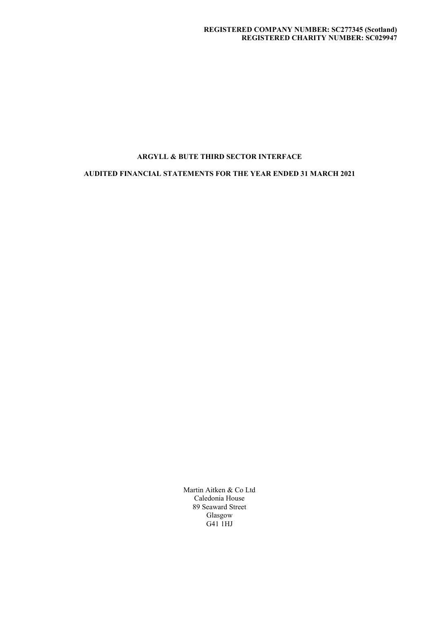AUDITED FINANCIAL STATEMENTS FOR THE YEAR ENDED 31 MARCH 2021

 Martin Aitken & Co Ltd Caledonia House 89 Seaward Street Glasgow G41 1HJ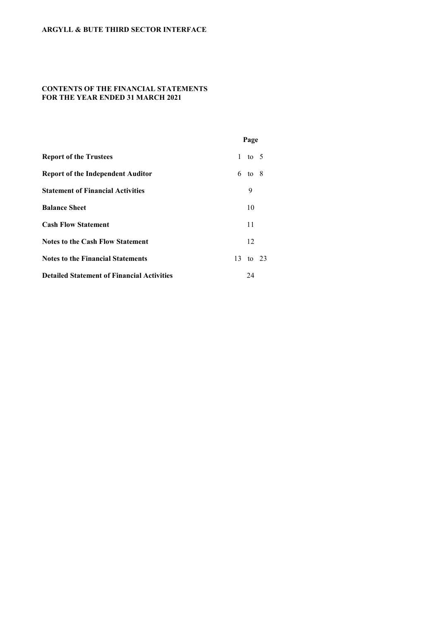# CONTENTS OF THE FINANCIAL STATEMENTS FOR THE YEAR ENDED 31 MARCH 2021

|                                                   |              | Page            |  |
|---------------------------------------------------|--------------|-----------------|--|
| <b>Report of the Trustees</b>                     | $\mathbf{1}$ | to 5            |  |
| <b>Report of the Independent Auditor</b>          |              | $6\text{ to }8$ |  |
| <b>Statement of Financial Activities</b>          |              | 9               |  |
| <b>Balance Sheet</b>                              |              | 10              |  |
| <b>Cash Flow Statement</b>                        |              | 11              |  |
| <b>Notes to the Cash Flow Statement</b>           |              | 12              |  |
| <b>Notes to the Financial Statements</b>          |              | 13 to 23        |  |
| <b>Detailed Statement of Financial Activities</b> |              | 24              |  |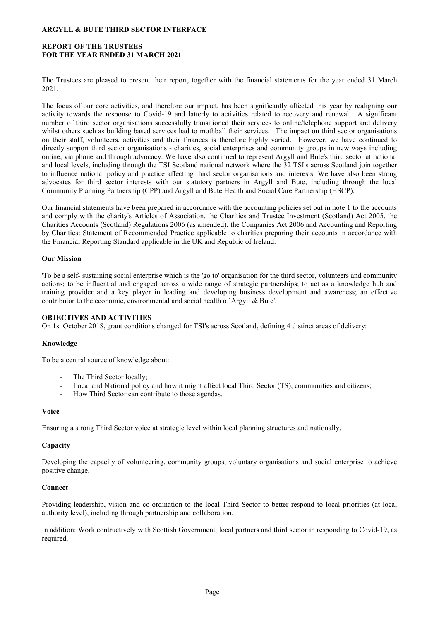## REPORT OF THE TRUSTEES FOR THE YEAR ENDED 31 MARCH 2021

The Trustees are pleased to present their report, together with the financial statements for the year ended 31 March 2021.

The focus of our core activities, and therefore our impact, has been significantly affected this year by realigning our activity towards the response to Covid-19 and latterly to activities related to recovery and renewal. A significant number of third sector organisations successfully transitioned their services to online/telephone support and delivery whilst others such as building based services had to mothball their services. The impact on third sector organisations on their staff, volunteers, activities and their finances is therefore highly varied. However, we have continued to directly support third sector organisations - charities, social enterprises and community groups in new ways including online, via phone and through advocacy. We have also continued to represent Argyll and Bute's third sector at national and local levels, including through the TSI Scotland national network where the 32 TSI's across Scotland join together to influence national policy and practice affecting third sector organisations and interests. We have also been strong advocates for third sector interests with our statutory partners in Argyll and Bute, including through the local Community Planning Partnership (CPP) and Argyll and Bute Health and Social Care Partnership (HSCP).

Our financial statements have been prepared in accordance with the accounting policies set out in note 1 to the accounts and comply with the charity's Articles of Association, the Charities and Trustee Investment (Scotland) Act 2005, the Charities Accounts (Scotland) Regulations 2006 (as amended), the Companies Act 2006 and Accounting and Reporting by Charities: Statement of Recommended Practice applicable to charities preparing their accounts in accordance with the Financial Reporting Standard applicable in the UK and Republic of Ireland.

## Our Mission

'To be a self- sustaining social enterprise which is the 'go to' organisation for the third sector, volunteers and community actions; to be influential and engaged across a wide range of strategic partnerships; to act as a knowledge hub and training provider and a key player in leading and developing business development and awareness; an effective contributor to the economic, environmental and social health of Argyll & Bute'.

### OBJECTIVES AND ACTIVITIES

On 1st October 2018, grant conditions changed for TSI's across Scotland, defining 4 distinct areas of delivery:

### Knowledge

To be a central source of knowledge about:

- The Third Sector locally;
- Local and National policy and how it might affect local Third Sector (TS), communities and citizens;
- How Third Sector can contribute to those agendas.

### Voice

Ensuring a strong Third Sector voice at strategic level within local planning structures and nationally.

### **Capacity**

Developing the capacity of volunteering, community groups, voluntary organisations and social enterprise to achieve positive change.

## Connect

Providing leadership, vision and co-ordination to the local Third Sector to better respond to local priorities (at local authority level), including through partnership and collaboration.

In addition: Work contructively with Scottish Government, local partners and third sector in responding to Covid-19, as required.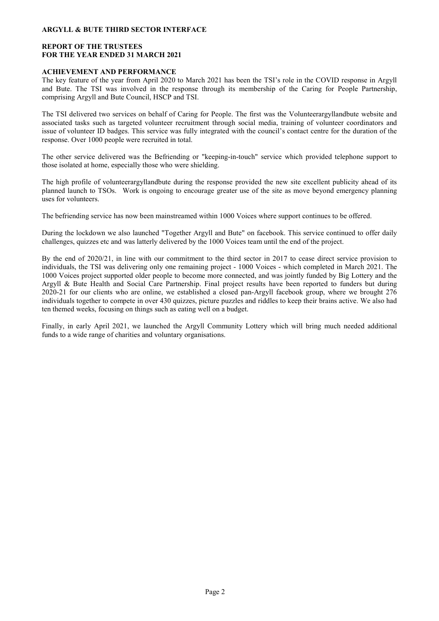## REPORT OF THE TRUSTEES FOR THE YEAR ENDED 31 MARCH 2021

### ACHIEVEMENT AND PERFORMANCE

The key feature of the year from April 2020 to March 2021 has been the TSI's role in the COVID response in Argyll and Bute. The TSI was involved in the response through its membership of the Caring for People Partnership, comprising Argyll and Bute Council, HSCP and TSI.

The TSI delivered two services on behalf of Caring for People. The first was the Volunteerargyllandbute website and associated tasks such as targeted volunteer recruitment through social media, training of volunteer coordinators and issue of volunteer ID badges. This service was fully integrated with the council's contact centre for the duration of the response. Over 1000 people were recruited in total.

The other service delivered was the Befriending or "keeping-in-touch" service which provided telephone support to those isolated at home, especially those who were shielding.

The high profile of volunteerargyllandbute during the response provided the new site excellent publicity ahead of its planned launch to TSOs. Work is ongoing to encourage greater use of the site as move beyond emergency planning uses for volunteers.

The befriending service has now been mainstreamed within 1000 Voices where support continues to be offered.

During the lockdown we also launched "Together Argyll and Bute" on facebook. This service continued to offer daily challenges, quizzes etc and was latterly delivered by the 1000 Voices team until the end of the project.

By the end of 2020/21, in line with our commitment to the third sector in 2017 to cease direct service provision to individuals, the TSI was delivering only one remaining project - 1000 Voices - which completed in March 2021. The 1000 Voices project supported older people to become more connected, and was jointly funded by Big Lottery and the Argyll & Bute Health and Social Care Partnership. Final project results have been reported to funders but during 2020-21 for our clients who are online, we established a closed pan-Argyll facebook group, where we brought 276 individuals together to compete in over 430 quizzes, picture puzzles and riddles to keep their brains active. We also had ten themed weeks, focusing on things such as eating well on a budget.

Finally, in early April 2021, we launched the Argyll Community Lottery which will bring much needed additional funds to a wide range of charities and voluntary organisations.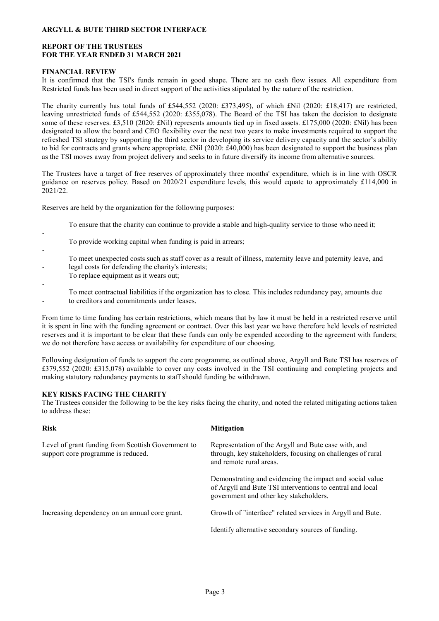## REPORT OF THE TRUSTEES FOR THE YEAR ENDED 31 MARCH 2021

### FINANCIAL REVIEW

It is confirmed that the TSI's funds remain in good shape. There are no cash flow issues. All expenditure from Restricted funds has been used in direct support of the activities stipulated by the nature of the restriction.

The charity currently has total funds of £544,552 (2020: £373,495), of which £Nil (2020: £18,417) are restricted, leaving unrestricted funds of £544,552 (2020: £355,078). The Board of the TSI has taken the decision to designate some of these reserves. £3,510 (2020: £Nil) represents amounts tied up in fixed assets. £175,000 (2020: £Nil) has been designated to allow the board and CEO flexibility over the next two years to make investments required to support the refreshed TSI strategy by supporting the third sector in developing its service delivery capacity and the sector's ability to bid for contracts and grants where appropriate. £Nil (2020: £40,000) has been designated to support the business plan as the TSI moves away from project delivery and seeks to in future diversify its income from alternative sources.

The Trustees have a target of free reserves of approximately three months' expenditure, which is in line with OSCR guidance on reserves policy. Based on 2020/21 expenditure levels, this would equate to approximately £114,000 in 2021/22.

Reserves are held by the organization for the following purposes:

To ensure that the charity can continue to provide a stable and high-quality service to those who need it;

- To provide working capital when funding is paid in arrears;
- - To meet unexpected costs such as staff cover as a result of illness, maternity leave and paternity leave, and legal costs for defending the charity's interests;
	- To replace equipment as it wears out;
	- -

To meet contractual liabilities if the organization has to close. This includes redundancy pay, amounts due

 to creditors and commitments under leases.

From time to time funding has certain restrictions, which means that by law it must be held in a restricted reserve until it is spent in line with the funding agreement or contract. Over this last year we have therefore held levels of restricted reserves and it is important to be clear that these funds can only be expended according to the agreement with funders; we do not therefore have access or availability for expenditure of our choosing.

Following designation of funds to support the core programme, as outlined above, Argyll and Bute TSI has reserves of £379,552 (2020: £315,078) available to cover any costs involved in the TSI continuing and completing projects and making statutory redundancy payments to staff should funding be withdrawn.

### KEY RISKS FACING THE CHARITY

The Trustees consider the following to be the key risks facing the charity, and noted the related mitigating actions taken to address these:

| <b>Risk</b>                                                                              | <b>Mitigation</b>                                                                                                                                               |
|------------------------------------------------------------------------------------------|-----------------------------------------------------------------------------------------------------------------------------------------------------------------|
| Level of grant funding from Scottish Government to<br>support core programme is reduced. | Representation of the Argyll and Bute case with, and<br>through, key stakeholders, focusing on challenges of rural<br>and remote rural areas.                   |
|                                                                                          | Demonstrating and evidencing the impact and social value<br>of Argyll and Bute TSI interventions to central and local<br>government and other key stakeholders. |
| Increasing dependency on an annual core grant.                                           | Growth of "interface" related services in Argyll and Bute.                                                                                                      |
|                                                                                          | Identify alternative secondary sources of funding.                                                                                                              |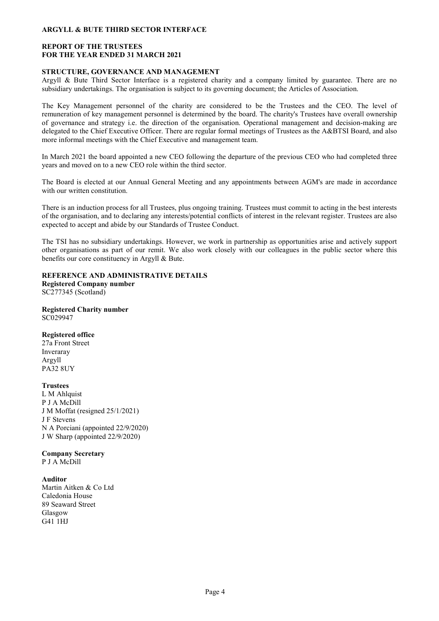## REPORT OF THE TRUSTEES FOR THE YEAR ENDED 31 MARCH 2021

### STRUCTURE, GOVERNANCE AND MANAGEMENT

Argyll & Bute Third Sector Interface is a registered charity and a company limited by guarantee. There are no subsidiary undertakings. The organisation is subject to its governing document; the Articles of Association.

The Key Management personnel of the charity are considered to be the Trustees and the CEO. The level of remuneration of key management personnel is determined by the board. The charity's Trustees have overall ownership of governance and strategy i.e. the direction of the organisation. Operational management and decision-making are delegated to the Chief Executive Officer. There are regular formal meetings of Trustees as the A&BTSI Board, and also more informal meetings with the Chief Executive and management team.

In March 2021 the board appointed a new CEO following the departure of the previous CEO who had completed three years and moved on to a new CEO role within the third sector.

The Board is elected at our Annual General Meeting and any appointments between AGM's are made in accordance with our written constitution.

There is an induction process for all Trustees, plus ongoing training. Trustees must commit to acting in the best interests of the organisation, and to declaring any interests/potential conflicts of interest in the relevant register. Trustees are also expected to accept and abide by our Standards of Trustee Conduct.

The TSI has no subsidiary undertakings. However, we work in partnership as opportunities arise and actively support other organisations as part of our remit. We also work closely with our colleagues in the public sector where this benefits our core constituency in Argyll & Bute.

REFERENCE AND ADMINISTRATIVE DETAILS Registered Company number

SC277345 (Scotland)

Registered Charity number SC029947

Registered office

27a Front Street Inveraray Argyll PA32 8UY

**Trustees** 

L M Ahlquist P J A McDill J M Moffat (resigned 25/1/2021) J F Stevens N A Porciani (appointed 22/9/2020) J W Sharp (appointed 22/9/2020)

Company Secretary P J A McDill

Auditor

Martin Aitken & Co Ltd Caledonia House 89 Seaward Street Glasgow G41 1HJ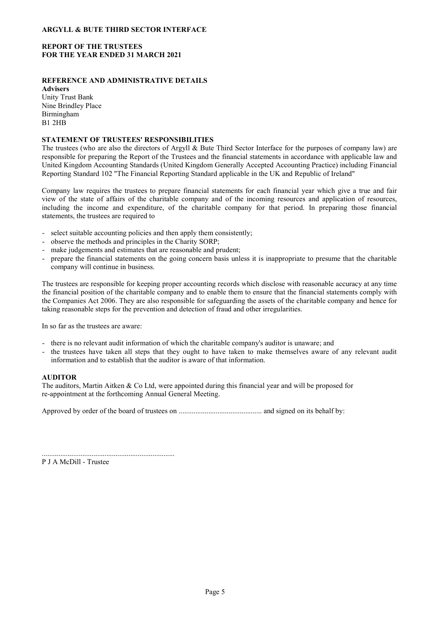## REPORT OF THE TRUSTEES FOR THE YEAR ENDED 31 MARCH 2021

# REFERENCE AND ADMINISTRATIVE DETAILS

Advisers Unity Trust Bank Nine Brindley Place Birmingham B1 2HB

## STATEMENT OF TRUSTEES' RESPONSIBILITIES

The trustees (who are also the directors of Argyll & Bute Third Sector Interface for the purposes of company law) are responsible for preparing the Report of the Trustees and the financial statements in accordance with applicable law and United Kingdom Accounting Standards (United Kingdom Generally Accepted Accounting Practice) including Financial Reporting Standard 102 "The Financial Reporting Standard applicable in the UK and Republic of Ireland"

Company law requires the trustees to prepare financial statements for each financial year which give a true and fair view of the state of affairs of the charitable company and of the incoming resources and application of resources, including the income and expenditure, of the charitable company for that period. In preparing those financial statements, the trustees are required to

- select suitable accounting policies and then apply them consistently;
- observe the methods and principles in the Charity SORP;
- make judgements and estimates that are reasonable and prudent;
- prepare the financial statements on the going concern basis unless it is inappropriate to presume that the charitable company will continue in business.

The trustees are responsible for keeping proper accounting records which disclose with reasonable accuracy at any time the financial position of the charitable company and to enable them to ensure that the financial statements comply with the Companies Act 2006. They are also responsible for safeguarding the assets of the charitable company and hence for taking reasonable steps for the prevention and detection of fraud and other irregularities.

In so far as the trustees are aware:

- there is no relevant audit information of which the charitable company's auditor is unaware; and
- the trustees have taken all steps that they ought to have taken to make themselves aware of any relevant audit information and to establish that the auditor is aware of that information.

# AUDITOR

The auditors, Martin Aitken & Co Ltd, were appointed during this financial year and will be proposed for re-appointment at the forthcoming Annual General Meeting.

Approved by order of the board of trustees on ............................................. and signed on its behalf by:

........................................................................ P J A McDill - Trustee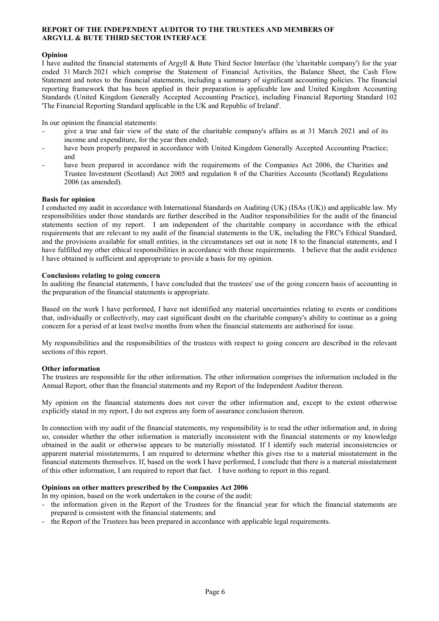### REPORT OF THE INDEPENDENT AUDITOR TO THE TRUSTEES AND MEMBERS OF ARGYLL & BUTE THIRD SECTOR INTERFACE

### Opinion

I have audited the financial statements of Argyll & Bute Third Sector Interface (the 'charitable company') for the year ended 31 March 2021 which comprise the Statement of Financial Activities, the Balance Sheet, the Cash Flow Statement and notes to the financial statements, including a summary of significant accounting policies. The financial reporting framework that has been applied in their preparation is applicable law and United Kingdom Accounting Standards (United Kingdom Generally Accepted Accounting Practice), including Financial Reporting Standard 102 'The Financial Reporting Standard applicable in the UK and Republic of Ireland'.

In our opinion the financial statements:

- give a true and fair view of the state of the charitable company's affairs as at 31 March 2021 and of its income and expenditure, for the year then ended;
- have been properly prepared in accordance with United Kingdom Generally Accepted Accounting Practice; and
- have been prepared in accordance with the requirements of the Companies Act 2006, the Charities and Trustee Investment (Scotland) Act 2005 and regulation 8 of the Charities Accounts (Scotland) Regulations 2006 (as amended).

### Basis for opinion

I conducted my audit in accordance with International Standards on Auditing (UK) (ISAs (UK)) and applicable law. My responsibilities under those standards are further described in the Auditor responsibilities for the audit of the financial statements section of my report. I am independent of the charitable company in accordance with the ethical requirements that are relevant to my audit of the financial statements in the UK, including the FRC's Ethical Standard, and the provisions available for small entities, in the circumstances set out in note 18 to the financial statements, and I have fulfilled my other ethical responsibilities in accordance with these requirements. I believe that the audit evidence I have obtained is sufficient and appropriate to provide a basis for my opinion.

### Conclusions relating to going concern

In auditing the financial statements, I have concluded that the trustees' use of the going concern basis of accounting in the preparation of the financial statements is appropriate.

Based on the work I have performed, I have not identified any material uncertainties relating to events or conditions that, individually or collectively, may cast significant doubt on the charitable company's ability to continue as a going concern for a period of at least twelve months from when the financial statements are authorised for issue.

My responsibilities and the responsibilities of the trustees with respect to going concern are described in the relevant sections of this report.

# Other information

The trustees are responsible for the other information. The other information comprises the information included in the Annual Report, other than the financial statements and my Report of the Independent Auditor thereon.

My opinion on the financial statements does not cover the other information and, except to the extent otherwise explicitly stated in my report, I do not express any form of assurance conclusion thereon.

In connection with my audit of the financial statements, my responsibility is to read the other information and, in doing so, consider whether the other information is materially inconsistent with the financial statements or my knowledge obtained in the audit or otherwise appears to be materially misstated. If I identify such material inconsistencies or apparent material misstatements, I am required to determine whether this gives rise to a material misstatement in the financial statements themselves. If, based on the work I have performed, I conclude that there is a material misstatement of this other information, I am required to report that fact. I have nothing to report in this regard.

### Opinions on other matters prescribed by the Companies Act 2006

In my opinion, based on the work undertaken in the course of the audit:

- the information given in the Report of the Trustees for the financial year for which the financial statements are prepared is consistent with the financial statements; and
- the Report of the Trustees has been prepared in accordance with applicable legal requirements.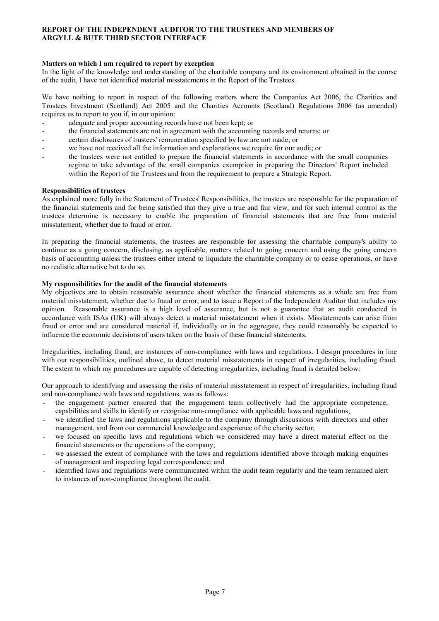## REPORT OF THE INDEPENDENT AUDITOR TO THE TRUSTEES AND MEMBERS OF ARGYLL & BUTE THIRD SECTOR INTERFACE

### Matters on which I am required to report by exception

In the light of the knowledge and understanding of the charitable company and its environment obtained in the course of the audit, I have not identified material misstatements in the Report of the Trustees.

We have nothing to report in respect of the following matters where the Companies Act 2006, the Charities and Trustees Investment (Scotland) Act 2005 and the Charities Accounts (Scotland) Regulations 2006 (as amended) requires us to report to you if, in our opinion:

- adequate and proper accounting records have not been kept; or
- the financial statements are not in agreement with the accounting records and returns; or
- certain disclosures of trustees' remuneration specified by law are not made; or
- we have not received all the information and explanations we require for our audit; or
- the trustees were not entitled to prepare the financial statements in accordance with the small companies regime to take advantage of the small companies exemption in preparing the Directors' Report included within the Report of the Trustees and from the requirement to prepare a Strategic Report.

### Responsibilities of trustees

As explained more fully in the Statement of Trustees' Responsibilities, the trustees are responsible for the preparation of the financial statements and for being satisfied that they give a true and fair view, and for such internal control as the trustees determine is necessary to enable the preparation of financial statements that are free from material misstatement, whether due to fraud or error.

In preparing the financial statements, the trustees are responsible for assessing the charitable company's ability to continue as a going concern, disclosing, as applicable, matters related to going concern and using the going concern basis of accounting unless the trustees either intend to liquidate the charitable company or to cease operations, or have no realistic alternative but to do so.

### My responsibilities for the audit of the financial statements

My objectives are to obtain reasonable assurance about whether the financial statements as a whole are free from material misstatement, whether due to fraud or error, and to issue a Report of the Independent Auditor that includes my opinion. Reasonable assurance is a high level of assurance, but is not a guarantee that an audit conducted in accordance with ISAs (UK) will always detect a material misstatement when it exists. Misstatements can arise from fraud or error and are considered material if, individually or in the aggregate, they could reasonably be expected to influence the economic decisions of users taken on the basis of these financial statements.

Irregularities, including fraud, are instances of non-compliance with laws and regulations. I design procedures in line with our responsibilities, outlined above, to detect material misstatements in respect of irregularities, including fraud. The extent to which my procedures are capable of detecting irregularities, including fraud is detailed below:

Our approach to identifying and assessing the risks of material misstatement in respect of irregularities, including fraud and non-compliance with laws and regulations, was as follows:

- the engagement partner ensured that the engagement team collectively had the appropriate competence, capabilities and skills to identify or recognise non-compliance with applicable laws and regulations;
- we identified the laws and regulations applicable to the company through discussions with directors and other management, and from our commercial knowledge and experience of the charity sector;
- we focused on specific laws and regulations which we considered may have a direct material effect on the financial statements or the operations of the company;
- we assessed the extent of compliance with the laws and regulations identified above through making enquiries of management and inspecting legal correspondence; and
- identified laws and regulations were communicated within the audit team regularly and the team remained alert to instances of non-compliance throughout the audit.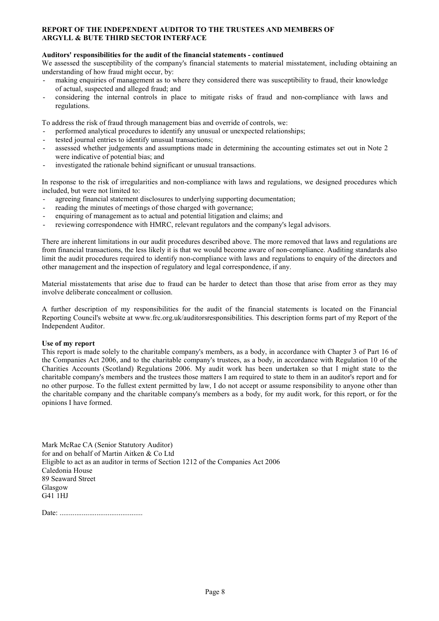### REPORT OF THE INDEPENDENT AUDITOR TO THE TRUSTEES AND MEMBERS OF ARGYLL & BUTE THIRD SECTOR INTERFACE

### Auditors' responsibilities for the audit of the financial statements - continued

We assessed the susceptibility of the company's financial statements to material misstatement, including obtaining an understanding of how fraud might occur, by:

- making enquiries of management as to where they considered there was susceptibility to fraud, their knowledge of actual, suspected and alleged fraud; and
- considering the internal controls in place to mitigate risks of fraud and non-compliance with laws and regulations.

To address the risk of fraud through management bias and override of controls, we:

- performed analytical procedures to identify any unusual or unexpected relationships;
- tested journal entries to identify unusual transactions;
- assessed whether judgements and assumptions made in determining the accounting estimates set out in Note 2 were indicative of potential bias; and
- investigated the rationale behind significant or unusual transactions.

In response to the risk of irregularities and non-compliance with laws and regulations, we designed procedures which included, but were not limited to:

- agreeing financial statement disclosures to underlying supporting documentation;
- reading the minutes of meetings of those charged with governance;
- enquiring of management as to actual and potential litigation and claims; and
- reviewing correspondence with HMRC, relevant regulators and the company's legal advisors.

There are inherent limitations in our audit procedures described above. The more removed that laws and regulations are from financial transactions, the less likely it is that we would become aware of non-compliance. Auditing standards also limit the audit procedures required to identify non-compliance with laws and regulations to enquiry of the directors and other management and the inspection of regulatory and legal correspondence, if any.

Material misstatements that arise due to fraud can be harder to detect than those that arise from error as they may involve deliberate concealment or collusion.

A further description of my responsibilities for the audit of the financial statements is located on the Financial Reporting Council's website at www.frc.org.uk/auditorsresponsibilities. This description forms part of my Report of the Independent Auditor.

### Use of my report

This report is made solely to the charitable company's members, as a body, in accordance with Chapter 3 of Part 16 of the Companies Act 2006, and to the charitable company's trustees, as a body, in accordance with Regulation 10 of the Charities Accounts (Scotland) Regulations 2006. My audit work has been undertaken so that I might state to the charitable company's members and the trustees those matters I am required to state to them in an auditor's report and for no other purpose. To the fullest extent permitted by law, I do not accept or assume responsibility to anyone other than the charitable company and the charitable company's members as a body, for my audit work, for this report, or for the opinions I have formed.

Mark McRae CA (Senior Statutory Auditor) for and on behalf of Martin Aitken & Co Ltd Eligible to act as an auditor in terms of Section 1212 of the Companies Act 2006 Caledonia House 89 Seaward Street Glasgow G41 1HJ

Date: .............................................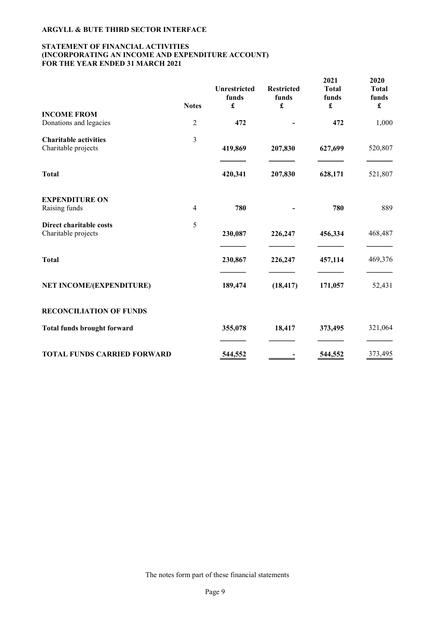### STATEMENT OF FINANCIAL ACTIVITIES (INCORPORATING AN INCOME AND EXPENDITURE ACCOUNT) FOR THE YEAR ENDED 31 MARCH 2021

|                                                     | <b>Notes</b>   | <b>Unrestricted</b><br>funds<br>$\pmb{\mathfrak{L}}$ | Restricted<br>funds<br>£ | 2021<br><b>Total</b><br>funds<br>$\pmb{\mathfrak{L}}$ | 2020<br><b>Total</b><br>funds<br>$\pmb{\mathfrak{L}}$ |
|-----------------------------------------------------|----------------|------------------------------------------------------|--------------------------|-------------------------------------------------------|-------------------------------------------------------|
| <b>INCOME FROM</b><br>Donations and legacies        | $\sqrt{2}$     | 472                                                  |                          | 472                                                   | 1,000                                                 |
| <b>Charitable activities</b><br>Charitable projects | $\overline{3}$ | 419,869                                              | 207,830                  | 627,699                                               | 520,807                                               |
| <b>Total</b>                                        |                | 420,341                                              | 207,830                  | 628,171                                               | 521,807                                               |
| <b>EXPENDITURE ON</b><br>Raising funds              | $\overline{4}$ | 780                                                  |                          | 780                                                   | 889                                                   |
| Direct charitable costs<br>Charitable projects      | 5              | 230,087                                              | 226,247                  | 456,334                                               | 468,487                                               |
| <b>Total</b>                                        |                | 230,867                                              | 226,247                  | 457,114                                               | 469,376                                               |
| <b>NET INCOME/(EXPENDITURE)</b>                     |                | 189,474                                              | (18, 417)                | 171,057                                               | 52,431                                                |
| <b>RECONCILIATION OF FUNDS</b>                      |                |                                                      |                          |                                                       |                                                       |
| <b>Total funds brought forward</b>                  |                | 355,078                                              | 18,417                   | 373,495                                               | 321,064                                               |
| <b>TOTAL FUNDS CARRIED FORWARD</b>                  |                | 544,552                                              |                          | 544,552                                               | 373,495                                               |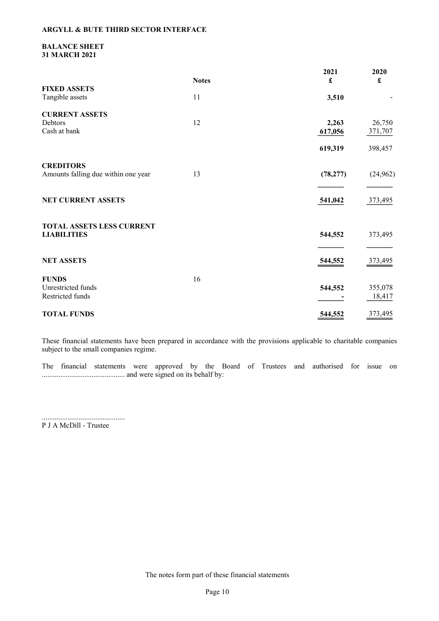### BALANCE SHEET 31 MARCH 2021

|                                     | <b>Notes</b> | 2021<br>£ | 2020<br>£ |
|-------------------------------------|--------------|-----------|-----------|
| <b>FIXED ASSETS</b>                 |              |           |           |
| Tangible assets                     | 11           | 3,510     |           |
| <b>CURRENT ASSETS</b>               |              |           |           |
| Debtors                             | 12           | 2,263     | 26,750    |
| Cash at bank                        |              | 617,056   | 371,707   |
|                                     |              | 619,319   | 398,457   |
| <b>CREDITORS</b>                    |              |           |           |
| Amounts falling due within one year | 13           | (78, 277) | (24, 962) |
|                                     |              |           |           |
| NET CURRENT ASSETS                  |              | 541,042   | 373,495   |
| <b>TOTAL ASSETS LESS CURRENT</b>    |              |           |           |
| <b>LIABILITIES</b>                  |              | 544,552   | 373,495   |
|                                     |              |           |           |
| <b>NET ASSETS</b>                   |              | 544,552   | 373,495   |
| <b>FUNDS</b>                        | 16           |           |           |
| Unrestricted funds                  |              | 544,552   | 355,078   |
| Restricted funds                    |              |           | 18,417    |
| <b>TOTAL FUNDS</b>                  |              | 544,552   | 373,495   |

These financial statements have been prepared in accordance with the provisions applicable to charitable companies subject to the small companies regime.

The financial statements were approved by the Board of Trustees and authorised for issue on ............................................. and were signed on its behalf by:

............................................. P J A McDill - Trustee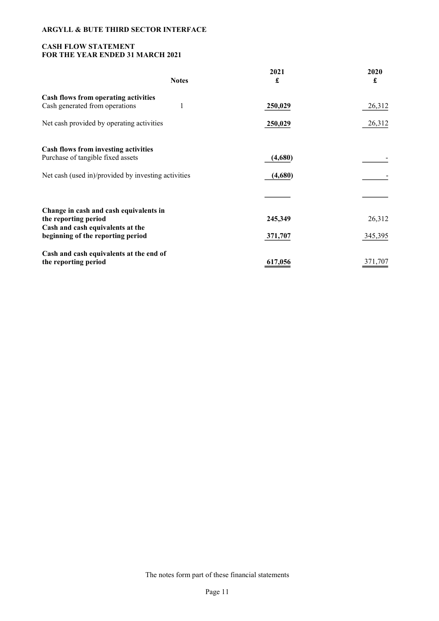# CASH FLOW STATEMENT FOR THE YEAR ENDED 31 MARCH 2021

| <b>Notes</b>                                             | 2021<br>£ | 2020<br>£ |
|----------------------------------------------------------|-----------|-----------|
| Cash flows from operating activities                     |           |           |
| 1<br>Cash generated from operations                      | 250,029   | 26,312    |
| Net cash provided by operating activities                | 250,029   | 26,312    |
| Cash flows from investing activities                     |           |           |
| Purchase of tangible fixed assets                        | (4,680)   |           |
| Net cash (used in)/provided by investing activities      | (4,680)   |           |
|                                                          |           |           |
| Change in cash and cash equivalents in                   |           |           |
| the reporting period<br>Cash and cash equivalents at the | 245,349   | 26,312    |
| beginning of the reporting period                        | 371,707   | 345,395   |
| Cash and cash equivalents at the end of                  |           |           |
| the reporting period                                     | 617,056   | 371,707   |

The notes form part of these financial statements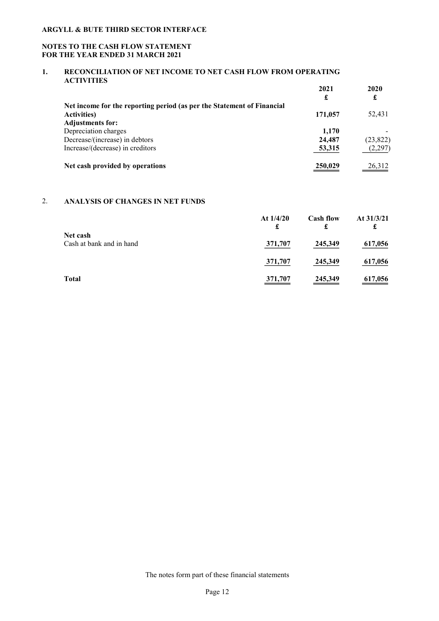## NOTES TO THE CASH FLOW STATEMENT FOR THE YEAR ENDED 31 MARCH 2021

## 1. RECONCILIATION OF NET INCOME TO NET CASH FLOW FROM OPERATING ACTIVITIES

|                                                                        | 2021<br>£ | 2020<br>£ |
|------------------------------------------------------------------------|-----------|-----------|
| Net income for the reporting period (as per the Statement of Financial |           |           |
| <b>Activities</b> )                                                    | 171,057   | 52,431    |
| <b>Adjustments for:</b>                                                |           |           |
| Depreciation charges                                                   | 1.170     |           |
| Decrease/(increase) in debtors                                         | 24,487    | (23,822)  |
| Increase/(decrease) in creditors                                       | 53,315    | (2,297)   |
| Net cash provided by operations                                        | 250,029   | 26,312    |

# 2. ANALYSIS OF CHANGES IN NET FUNDS

|                                      | At $1/4/20$<br>£ | <b>Cash flow</b><br>£ | At $31/3/21$<br>£ |
|--------------------------------------|------------------|-----------------------|-------------------|
| Net cash<br>Cash at bank and in hand | 371,707          | 245,349               | 617,056           |
|                                      | 371,707          | 245,349               | 617,056           |
| <b>Total</b>                         | 371,707          | 245,349               | 617,056           |

The notes form part of these financial statements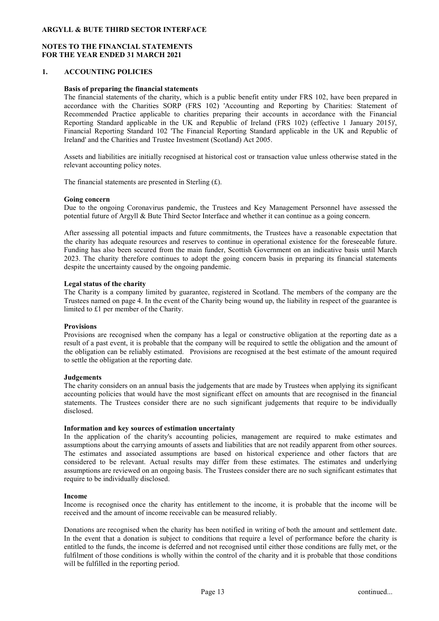#### NOTES TO THE FINANCIAL STATEMENTS FOR THE YEAR ENDED 31 MARCH 2021

#### 1. ACCOUNTING POLICIES

#### Basis of preparing the financial statements

The financial statements of the charity, which is a public benefit entity under FRS 102, have been prepared in accordance with the Charities SORP (FRS 102) 'Accounting and Reporting by Charities: Statement of Recommended Practice applicable to charities preparing their accounts in accordance with the Financial Reporting Standard applicable in the UK and Republic of Ireland (FRS 102) (effective 1 January 2015)', Financial Reporting Standard 102 'The Financial Reporting Standard applicable in the UK and Republic of Ireland' and the Charities and Trustee Investment (Scotland) Act 2005.

Assets and liabilities are initially recognised at historical cost or transaction value unless otherwise stated in the relevant accounting policy notes.

The financial statements are presented in Sterling  $(f)$ .

#### Going concern

Due to the ongoing Coronavirus pandemic, the Trustees and Key Management Personnel have assessed the potential future of Argyll & Bute Third Sector Interface and whether it can continue as a going concern.

After assessing all potential impacts and future commitments, the Trustees have a reasonable expectation that the charity has adequate resources and reserves to continue in operational existence for the foreseeable future. Funding has also been secured from the main funder, Scottish Government on an indicative basis until March 2023. The charity therefore continues to adopt the going concern basis in preparing its financial statements despite the uncertainty caused by the ongoing pandemic.

#### Legal status of the charity

The Charity is a company limited by guarantee, registered in Scotland. The members of the company are the Trustees named on page 4. In the event of the Charity being wound up, the liability in respect of the guarantee is limited to £1 per member of the Charity.

#### **Provisions**

Provisions are recognised when the company has a legal or constructive obligation at the reporting date as a result of a past event, it is probable that the company will be required to settle the obligation and the amount of the obligation can be reliably estimated. Provisions are recognised at the best estimate of the amount required to settle the obligation at the reporting date.

#### **Judgements**

The charity considers on an annual basis the judgements that are made by Trustees when applying its significant accounting policies that would have the most significant effect on amounts that are recognised in the financial statements. The Trustees consider there are no such significant judgements that require to be individually disclosed.

#### Information and key sources of estimation uncertainty

In the application of the charity's accounting policies, management are required to make estimates and assumptions about the carrying amounts of assets and liabilities that are not readily apparent from other sources. The estimates and associated assumptions are based on historical experience and other factors that are considered to be relevant. Actual results may differ from these estimates. The estimates and underlying assumptions are reviewed on an ongoing basis. The Trustees consider there are no such significant estimates that require to be individually disclosed.

#### Income

Income is recognised once the charity has entitlement to the income, it is probable that the income will be received and the amount of income receivable can be measured reliably.

Donations are recognised when the charity has been notified in writing of both the amount and settlement date. In the event that a donation is subject to conditions that require a level of performance before the charity is entitled to the funds, the income is deferred and not recognised until either those conditions are fully met, or the fulfilment of those conditions is wholly within the control of the charity and it is probable that those conditions will be fulfilled in the reporting period.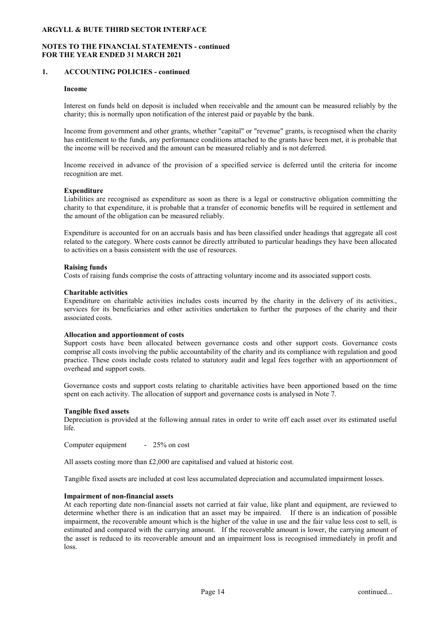### NOTES TO THE FINANCIAL STATEMENTS - continued FOR THE YEAR ENDED 31 MARCH 2021

### 1. ACCOUNTING POLICIES - continued

#### Income

Interest on funds held on deposit is included when receivable and the amount can be measured reliably by the charity; this is normally upon notification of the interest paid or payable by the bank.

Income from government and other grants, whether "capital" or "revenue" grants, is recognised when the charity has entitlement to the funds, any performance conditions attached to the grants have been met, it is probable that the income will be received and the amount can be measured reliably and is not deferred.

Income received in advance of the provision of a specified service is deferred until the criteria for income recognition are met.

### Expenditure

Liabilities are recognised as expenditure as soon as there is a legal or constructive obligation committing the charity to that expenditure, it is probable that a transfer of economic benefits will be required in settlement and the amount of the obligation can be measured reliably.

Expenditure is accounted for on an accruals basis and has been classified under headings that aggregate all cost related to the category. Where costs cannot be directly attributed to particular headings they have been allocated to activities on a basis consistent with the use of resources.

#### Raising funds

Costs of raising funds comprise the costs of attracting voluntary income and its associated support costs.

#### Charitable activities

Expenditure on charitable activities includes costs incurred by the charity in the delivery of its activities., services for its beneficiaries and other activities undertaken to further the purposes of the charity and their associated costs.

#### Allocation and apportionment of costs

Support costs have been allocated between governance costs and other support costs. Governance costs comprise all costs involving the public accountability of the charity and its compliance with regulation and good practice. These costs include costs related to statutory audit and legal fees together with an apportionment of overhead and support costs.

Governance costs and support costs relating to charitable activities have been apportioned based on the time spent on each activity. The allocation of support and governance costs is analysed in Note 7.

### Tangible fixed assets

Depreciation is provided at the following annual rates in order to write off each asset over its estimated useful life.

Computer equipment - 25% on cost

All assets costing more than £2,000 are capitalised and valued at historic cost.

Tangible fixed assets are included at cost less accumulated depreciation and accumulated impairment losses.

#### Impairment of non-financial assets

At each reporting date non-financial assets not carried at fair value, like plant and equipment, are reviewed to determine whether there is an indication that an asset may be impaired. If there is an indication of possible impairment, the recoverable amount which is the higher of the value in use and the fair value less cost to sell, is estimated and compared with the carrying amount. If the recoverable amount is lower, the carrying amount of the asset is reduced to its recoverable amount and an impairment loss is recognised immediately in profit and loss.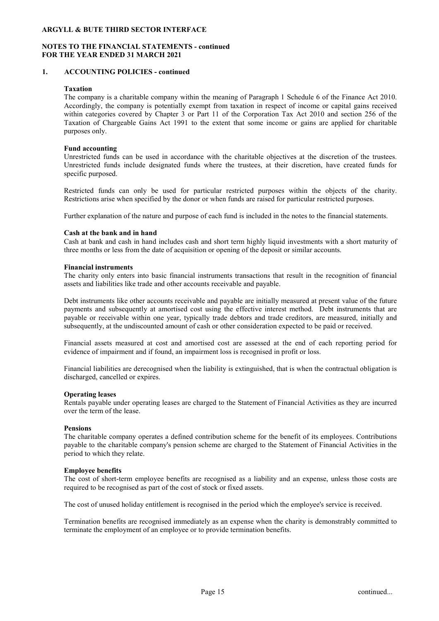### NOTES TO THE FINANCIAL STATEMENTS - continued FOR THE YEAR ENDED 31 MARCH 2021

### 1. ACCOUNTING POLICIES - continued

### Taxation

The company is a charitable company within the meaning of Paragraph 1 Schedule 6 of the Finance Act 2010. Accordingly, the company is potentially exempt from taxation in respect of income or capital gains received within categories covered by Chapter 3 or Part 11 of the Corporation Tax Act 2010 and section 256 of the Taxation of Chargeable Gains Act 1991 to the extent that some income or gains are applied for charitable purposes only.

#### Fund accounting

Unrestricted funds can be used in accordance with the charitable objectives at the discretion of the trustees. Unrestricted funds include designated funds where the trustees, at their discretion, have created funds for specific purposed.

Restricted funds can only be used for particular restricted purposes within the objects of the charity. Restrictions arise when specified by the donor or when funds are raised for particular restricted purposes.

Further explanation of the nature and purpose of each fund is included in the notes to the financial statements.

#### Cash at the bank and in hand

Cash at bank and cash in hand includes cash and short term highly liquid investments with a short maturity of three months or less from the date of acquisition or opening of the deposit or similar accounts.

#### Financial instruments

The charity only enters into basic financial instruments transactions that result in the recognition of financial assets and liabilities like trade and other accounts receivable and payable.

Debt instruments like other accounts receivable and payable are initially measured at present value of the future payments and subsequently at amortised cost using the effective interest method. Debt instruments that are payable or receivable within one year, typically trade debtors and trade creditors, are measured, initially and subsequently, at the undiscounted amount of cash or other consideration expected to be paid or received.

Financial assets measured at cost and amortised cost are assessed at the end of each reporting period for evidence of impairment and if found, an impairment loss is recognised in profit or loss.

Financial liabilities are derecognised when the liability is extinguished, that is when the contractual obligation is discharged, cancelled or expires.

### Operating leases

Rentals payable under operating leases are charged to the Statement of Financial Activities as they are incurred over the term of the lease.

#### Pensions

The charitable company operates a defined contribution scheme for the benefit of its employees. Contributions payable to the charitable company's pension scheme are charged to the Statement of Financial Activities in the period to which they relate.

#### Employee benefits

The cost of short-term employee benefits are recognised as a liability and an expense, unless those costs are required to be recognised as part of the cost of stock or fixed assets.

The cost of unused holiday entitlement is recognised in the period which the employee's service is received.

Termination benefits are recognised immediately as an expense when the charity is demonstrably committed to terminate the employment of an employee or to provide termination benefits.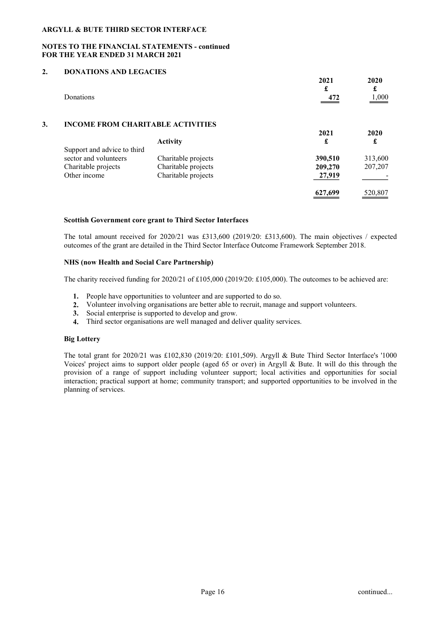### NOTES TO THE FINANCIAL STATEMENTS - continued FOR THE YEAR ENDED 31 MARCH 2021

## 2. DONATIONS AND LEGACIES

|    | Donations                                                                                   |                                                                   | 2021<br>£<br>472             | 2020<br>£<br>1,000 |
|----|---------------------------------------------------------------------------------------------|-------------------------------------------------------------------|------------------------------|--------------------|
| 3. | <b>INCOME FROM CHARITABLE ACTIVITIES</b>                                                    | <b>Activity</b>                                                   | 2021<br>£                    | 2020<br>£          |
|    | Support and advice to third<br>sector and volunteers<br>Charitable projects<br>Other income | Charitable projects<br>Charitable projects<br>Charitable projects | 390,510<br>209,270<br>27,919 | 313,600<br>207,207 |
|    |                                                                                             |                                                                   | 627,699                      | 520,807            |

### Scottish Government core grant to Third Sector Interfaces

The total amount received for 2020/21 was £313,600 (2019/20: £313,600). The main objectives / expected outcomes of the grant are detailed in the Third Sector Interface Outcome Framework September 2018.

### NHS (now Health and Social Care Partnership)

The charity received funding for  $2020/21$  of £105,000 (2019/20: £105,000). The outcomes to be achieved are:

- 1. People have opportunities to volunteer and are supported to do so.
- 2. Volunteer involving organisations are better able to recruit, manage and support volunteers.
- 3. Social enterprise is supported to develop and grow.
- 4. Third sector organisations are well managed and deliver quality services.

### Big Lottery

The total grant for 2020/21 was £102,830 (2019/20: £101,509). Argyll & Bute Third Sector Interface's '1000 Voices' project aims to support older people (aged 65 or over) in Argyll & Bute. It will do this through the provision of a range of support including volunteer support; local activities and opportunities for social interaction; practical support at home; community transport; and supported opportunities to be involved in the planning of services.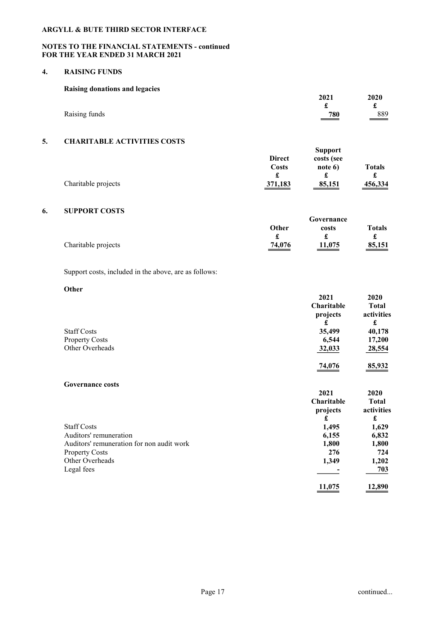### NOTES TO THE FINANCIAL STATEMENTS - continued FOR THE YEAR ENDED 31 MARCH 2021

#### 4. RAISING FUNDS

| Raising donations and legacies |                 |      |
|--------------------------------|-----------------|------|
|                                | 2021            | 2020 |
|                                |                 |      |
| Raising funds                  | $\frac{780}{2}$ | 889  |

## 5. CHARITABLE ACTIVITIES COSTS

|                     |               | <b>Support</b> |                                                                                                                                                                                                                                                                                                                                         |
|---------------------|---------------|----------------|-----------------------------------------------------------------------------------------------------------------------------------------------------------------------------------------------------------------------------------------------------------------------------------------------------------------------------------------|
|                     | <b>Direct</b> | costs (see     |                                                                                                                                                                                                                                                                                                                                         |
|                     | Costs         | note $6$       | <b>Totals</b>                                                                                                                                                                                                                                                                                                                           |
|                     | £             |                |                                                                                                                                                                                                                                                                                                                                         |
| Charitable projects | 371,183       | 85,151         | 456,334<br>$\hspace{0.1cm}$ $\hspace{0.1cm}$ $\hspace{0.1cm}$ $\hspace{0.1cm}$ $\hspace{0.1cm}$ $\hspace{0.1cm}$ $\hspace{0.1cm}$ $\hspace{0.1cm}$ $\hspace{0.1cm}$ $\hspace{0.1cm}$ $\hspace{0.1cm}$ $\hspace{0.1cm}$ $\hspace{0.1cm}$ $\hspace{0.1cm}$ $\hspace{0.1cm}$ $\hspace{0.1cm}$ $\hspace{0.1cm}$ $\hspace{0.1cm}$ $\hspace{$ |

#### 6. SUPPORT COSTS

|                     |              | Governance |                    |
|---------------------|--------------|------------|--------------------|
|                     | <b>Other</b> | costs      | <b>Totals</b>      |
|                     | -            |            | a.,                |
| Charitable projects | 74,076       | 11,075     | $\frac{85,151}{2}$ |

## Support costs, included in the above, are as follows:

## **Other**

| $\mathbf v$             | 2021       | 2020         |
|-------------------------|------------|--------------|
|                         | Charitable | <b>Total</b> |
|                         | projects   | activities   |
|                         | £          | £            |
| <b>Staff Costs</b>      | 35,499     | 40,178       |
| <b>Property Costs</b>   | 6,544      | 17,200       |
| Other Overheads         | 32,033     | 28,554       |
|                         | 74,076     | 85,932       |
| <b>Governance costs</b> |            |              |
|                         | 2021       | 2020         |
|                         | Charitable | <b>Total</b> |
|                         | projects   | activities   |
|                         | £          | £            |
| <b>Staff Costs</b>      | 1,495      | 1,629        |
| Auditors' remuneration  | 6,155      | 6,832        |

| Auditors' remuneration for non audit work | 1.800                    | 1,800  |
|-------------------------------------------|--------------------------|--------|
| <b>Property Costs</b>                     | 276                      | 724    |
| Other Overheads                           | 1.349                    | 1.202  |
| Legal fees                                | $\overline{\phantom{0}}$ | 703    |
|                                           | 11.077                   | 12.000 |

11,075 12,890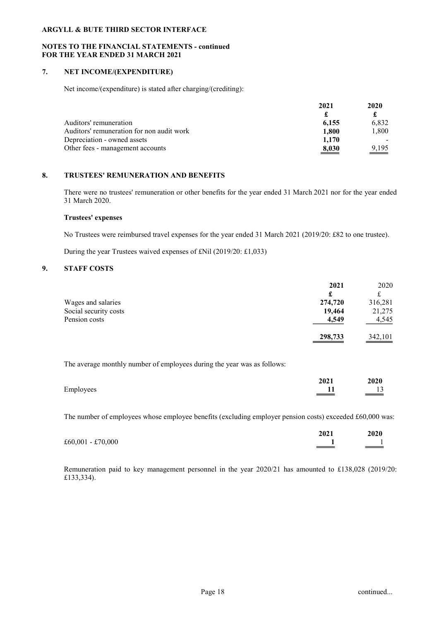### NOTES TO THE FINANCIAL STATEMENTS - continued FOR THE YEAR ENDED 31 MARCH 2021

# 7. NET INCOME/(EXPENDITURE)

Net income/(expenditure) is stated after charging/(crediting):

|                                           | 2021  | 2020              |
|-------------------------------------------|-------|-------------------|
|                                           |       |                   |
| Auditors' remuneration                    | 6.155 | 6.832             |
| Auditors' remuneration for non audit work | 1.800 | 1.800             |
| Depreciation - owned assets               | 1.170 |                   |
| Other fees - management accounts          | 8,030 | $\frac{9,195}{2}$ |

## 8. TRUSTEES' REMUNERATION AND BENEFITS

There were no trustees' remuneration or other benefits for the year ended 31 March 2021 nor for the year ended 31 March 2020.

### Trustees' expenses

No Trustees were reimbursed travel expenses for the year ended 31 March 2021 (2019/20: £82 to one trustee).

During the year Trustees waived expenses of £Nil (2019/20: £1,033)

## 9. STAFF COSTS

|                       | 2021    | 2020    |
|-----------------------|---------|---------|
|                       |         |         |
| Wages and salaries    | 274,720 | 316,281 |
| Social security costs | 19,464  | 21,275  |
| Pension costs         | 4,549   | 4,545   |
|                       | 298,733 | 342,101 |

The average monthly number of employees during the year was as follows:

|           | 2021 | 2020<br>_____                   |
|-----------|------|---------------------------------|
| Employees |      | 1 <sub>2</sub><br>$\rightarrow$ |

The number of employees whose employee benefits (excluding employer pension costs) exceeded £60,000 was:

|                   | 2021                                                                                                                                                                                                                                                                                                              | 2020   |
|-------------------|-------------------------------------------------------------------------------------------------------------------------------------------------------------------------------------------------------------------------------------------------------------------------------------------------------------------|--------|
| £60,001 - £70,000 | $\hspace{0.05cm}$ $\hspace{0.05cm}$ $\hspace{0.05cm}$ $\hspace{0.05cm}$ $\hspace{0.05cm}$ $\hspace{0.05cm}$ $\hspace{0.05cm}$ $\hspace{0.05cm}$ $\hspace{0.05cm}$ $\hspace{0.05cm}$ $\hspace{0.05cm}$ $\hspace{0.05cm}$ $\hspace{0.05cm}$ $\hspace{0.05cm}$ $\hspace{0.05cm}$ $\hspace{0.05cm}$ $\hspace{0.05cm}$ | ______ |

Remuneration paid to key management personnel in the year 2020/21 has amounted to £138,028 (2019/20: £133,334).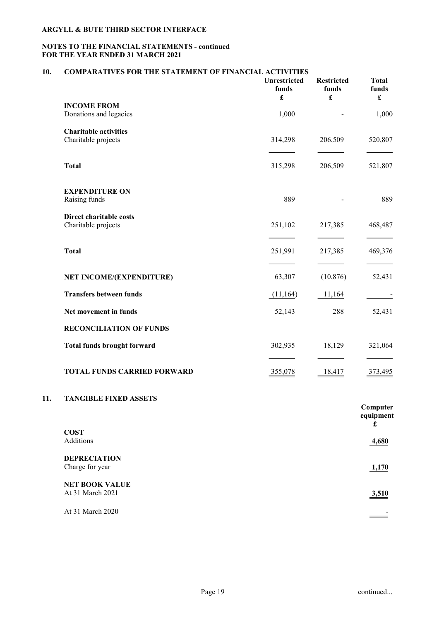## NOTES TO THE FINANCIAL STATEMENTS - continued FOR THE YEAR ENDED 31 MARCH 2021

# 10. COMPARATIVES FOR THE STATEMENT OF FINANCIAL ACTIVITIES

|     |                                        | Unrestricted<br>funds<br>$\pmb{\mathfrak{L}}$ | <b>Restricted</b><br>funds<br>$\pmb{\mathfrak{L}}$ | <b>Total</b><br>funds<br>$\pmb{\mathfrak{L}}$ |
|-----|----------------------------------------|-----------------------------------------------|----------------------------------------------------|-----------------------------------------------|
|     | <b>INCOME FROM</b>                     |                                               |                                                    |                                               |
|     | Donations and legacies                 | 1,000                                         |                                                    | 1,000                                         |
|     | <b>Charitable activities</b>           |                                               |                                                    |                                               |
|     | Charitable projects                    | 314,298                                       | 206,509                                            | 520,807                                       |
|     |                                        |                                               |                                                    |                                               |
|     | <b>Total</b>                           | 315,298                                       | 206,509                                            | 521,807                                       |
|     | <b>EXPENDITURE ON</b>                  |                                               |                                                    |                                               |
|     | Raising funds                          | 889                                           |                                                    | 889                                           |
|     | Direct charitable costs                |                                               |                                                    |                                               |
|     | Charitable projects                    | 251,102                                       | 217,385                                            | 468,487                                       |
|     |                                        |                                               |                                                    |                                               |
|     | <b>Total</b>                           | 251,991                                       | 217,385                                            | 469,376                                       |
|     | NET INCOME/(EXPENDITURE)               | 63,307                                        | (10, 876)                                          | 52,431                                        |
|     | <b>Transfers between funds</b>         | (11, 164)                                     | 11,164                                             |                                               |
|     | Net movement in funds                  | 52,143                                        | 288                                                | 52,431                                        |
|     | <b>RECONCILIATION OF FUNDS</b>         |                                               |                                                    |                                               |
|     | <b>Total funds brought forward</b>     | 302,935                                       | 18,129                                             | 321,064                                       |
|     | <b>TOTAL FUNDS CARRIED FORWARD</b>     | 355,078                                       | 18,417                                             | 373,495                                       |
| 11. | <b>TANGIBLE FIXED ASSETS</b>           |                                               |                                                    |                                               |
|     |                                        |                                               |                                                    | Computer<br>equipment<br>£                    |
|     | <b>COST</b><br>Additions               |                                               |                                                    |                                               |
|     |                                        |                                               |                                                    | 4,680                                         |
|     | <b>DEPRECIATION</b><br>Charge for year |                                               |                                                    | 1,170                                         |
|     |                                        |                                               |                                                    |                                               |

NET BOOK VALUE At 31 March 2021 3,510

At 31 March 2020  $-$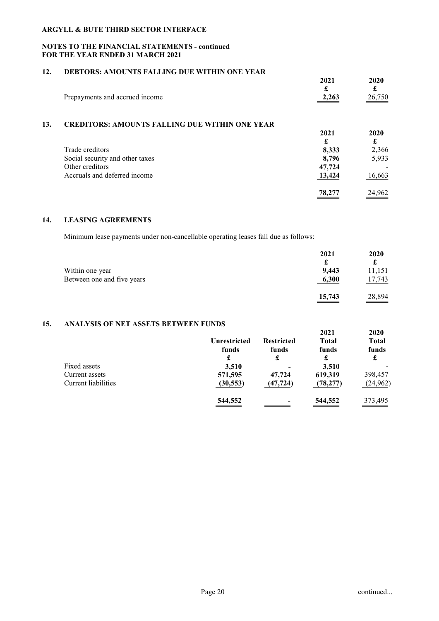### NOTES TO THE FINANCIAL STATEMENTS - continued FOR THE YEAR ENDED 31 MARCH 2021

# 12. DEBTORS: AMOUNTS FALLING DUE WITHIN ONE YEAR

|                                | 2021            | 2020               |
|--------------------------------|-----------------|--------------------|
|                                |                 |                    |
| Prepayments and accrued income | 2,263<br>______ | $\frac{26,750}{2}$ |

## 13. CREDITORS: AMOUNTS FALLING DUE WITHIN ONE YEAR

|                                 | 2021   | 2020   |
|---------------------------------|--------|--------|
|                                 | £      | £      |
| Trade creditors                 | 8,333  | 2,366  |
| Social security and other taxes | 8,796  | 5,933  |
| Other creditors                 | 47,724 |        |
| Accruals and deferred income    | 13,424 | 16,663 |
|                                 | 78,277 | 24,962 |

### 14. LEASING AGREEMENTS

Minimum lease payments under non-cancellable operating leases fall due as follows:

|                            | 2021   | 2020   |
|----------------------------|--------|--------|
|                            |        |        |
| Within one year            | 9.443  | 11,151 |
| Between one and five years | 6,300  | 17,743 |
|                            | 15,743 | 28,894 |

### 15. ANALYSIS OF NET ASSETS BETWEEN FUNDS

|                     | <b>Unrestricted</b><br>funds | <b>Restricted</b><br>funds | 2021<br><b>Total</b><br>funds | 2020<br><b>Total</b><br>funds |
|---------------------|------------------------------|----------------------------|-------------------------------|-------------------------------|
|                     | £                            | £                          | £                             |                               |
| Fixed assets        | 3,510                        | $\overline{\phantom{0}}$   | 3,510                         |                               |
| Current assets      | 571,595                      | 47,724                     | 619,319                       | 398,457                       |
| Current liabilities | (30, 553)                    | (47, 724)                  | (78, 277)                     | (24, 962)                     |
|                     | 544,552                      |                            | 544,552                       | 373,495                       |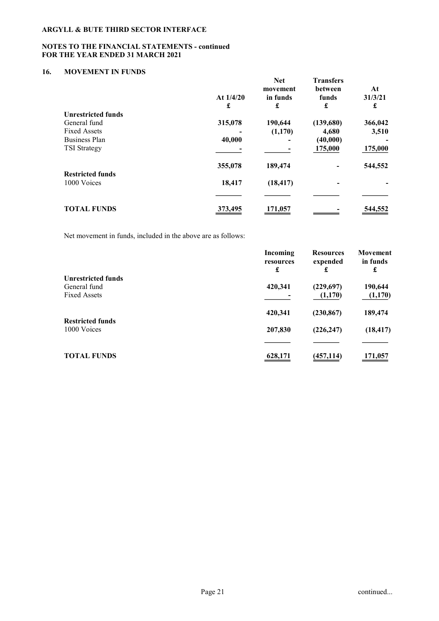## NOTES TO THE FINANCIAL STATEMENTS - continued FOR THE YEAR ENDED 31 MARCH 2021

# 16. MOVEMENT IN FUNDS

|                           | At $1/4/20$<br>£ | <b>Net</b><br>movement<br>in funds<br>£ | <b>Transfers</b><br><b>between</b><br>funds<br>£ | At<br>31/3/21<br>£ |
|---------------------------|------------------|-----------------------------------------|--------------------------------------------------|--------------------|
| <b>Unrestricted funds</b> |                  |                                         |                                                  |                    |
| General fund              | 315,078          | 190,644                                 | (139,680)                                        | 366,042            |
| <b>Fixed Assets</b>       |                  | (1,170)                                 | 4,680                                            | 3,510              |
| <b>Business Plan</b>      | 40,000           |                                         | (40,000)                                         |                    |
| <b>TSI</b> Strategy       |                  |                                         | 175,000                                          | 175,000            |
| <b>Restricted funds</b>   | 355,078          | 189,474                                 |                                                  | 544,552            |
| 1000 Voices               | 18,417           | (18, 417)                               |                                                  |                    |
|                           |                  |                                         |                                                  |                    |
| <b>TOTAL FUNDS</b>        | 373,495          | 171,057                                 |                                                  | 544,552            |

Net movement in funds, included in the above are as follows:

|                           | Incoming<br>resources | <b>Resources</b><br>expended | Movement<br>in funds |
|---------------------------|-----------------------|------------------------------|----------------------|
|                           | £                     | £                            | £                    |
| <b>Unrestricted funds</b> |                       |                              |                      |
| General fund              | 420,341               | (229,697)                    | 190,644              |
| <b>Fixed Assets</b>       |                       | (1,170)                      | (1,170)              |
|                           | 420,341               | (230, 867)                   | 189,474              |
| <b>Restricted funds</b>   |                       |                              |                      |
| 1000 Voices               | 207,830               | (226, 247)                   | (18, 417)            |
|                           |                       |                              |                      |
| <b>TOTAL FUNDS</b>        | 628,171               | (457, 114)                   | 171,057              |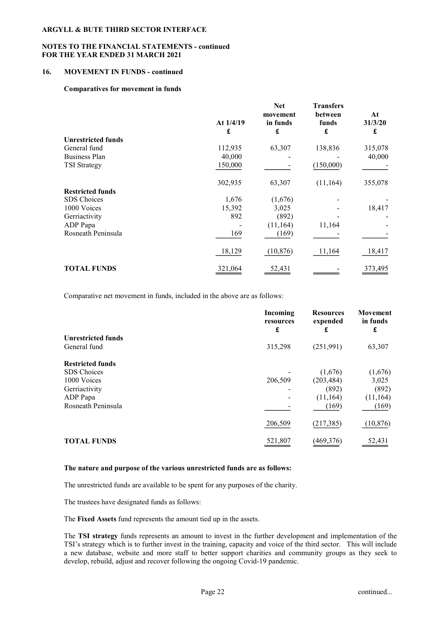### NOTES TO THE FINANCIAL STATEMENTS - continued FOR THE YEAR ENDED 31 MARCH 2021

#### 16. MOVEMENT IN FUNDS - continued

#### Comparatives for movement in funds

|                           | At $1/4/19$<br>£ | <b>Net</b><br>movement<br>in funds<br>£ | <b>Transfers</b><br>between<br>funds<br>£ | At<br>31/3/20<br>£ |
|---------------------------|------------------|-----------------------------------------|-------------------------------------------|--------------------|
| <b>Unrestricted funds</b> |                  |                                         |                                           |                    |
| General fund              | 112,935          | 63,307                                  | 138,836                                   | 315,078            |
| <b>Business Plan</b>      | 40,000           |                                         |                                           | 40,000             |
| <b>TSI Strategy</b>       | 150,000          |                                         | (150,000)                                 |                    |
|                           | 302,935          | 63,307                                  | (11, 164)                                 | 355,078            |
| <b>Restricted funds</b>   |                  |                                         |                                           |                    |
| SDS Choices               | 1,676            | (1,676)                                 |                                           |                    |
| 1000 Voices               | 15,392           | 3,025                                   |                                           | 18,417             |
| Gerriactivity             | 892              | (892)                                   |                                           |                    |
| ADP Papa                  |                  | (11,164)                                | 11,164                                    |                    |
| Rosneath Peninsula        | 169              | (169)                                   |                                           |                    |
|                           | 18,129           | (10, 876)                               | 11,164                                    | 18,417             |
| <b>TOTAL FUNDS</b>        | 321,064          | 52,431                                  |                                           | 373,495            |

Comparative net movement in funds, included in the above are as follows:

|                           | Incoming<br>resources<br>£ | <b>Resources</b><br>expended<br>£ | Movement<br>in funds<br>£ |
|---------------------------|----------------------------|-----------------------------------|---------------------------|
| <b>Unrestricted funds</b> |                            |                                   |                           |
| General fund              | 315,298                    | (251,991)                         | 63,307                    |
| <b>Restricted funds</b>   |                            |                                   |                           |
| <b>SDS</b> Choices        |                            | (1,676)                           | (1,676)                   |
| 1000 Voices               | 206,509                    | (203, 484)                        | 3,025                     |
| Gerriactivity             |                            | (892)                             | (892)                     |
| ADP Papa                  |                            | (11, 164)                         | (11, 164)                 |
| Rosneath Peninsula        |                            | (169)                             | (169)                     |
|                           | 206,509                    | (217, 385)                        | (10, 876)                 |
| <b>TOTAL FUNDS</b>        | 521,807                    | (469, 376)                        | 52,431                    |

#### The nature and purpose of the various unrestricted funds are as follows:

The unrestricted funds are available to be spent for any purposes of the charity.

The trustees have designated funds as follows:

The Fixed Assets fund represents the amount tied up in the assets.

The TSI strategy funds represents an amount to invest in the further development and implementation of the TSI's strategy which is to further invest in the training, capacity and voice of the third sector. This will include a new database, website and more staff to better support charities and community groups as they seek to develop, rebuild, adjust and recover following the ongoing Covid-19 pandemic.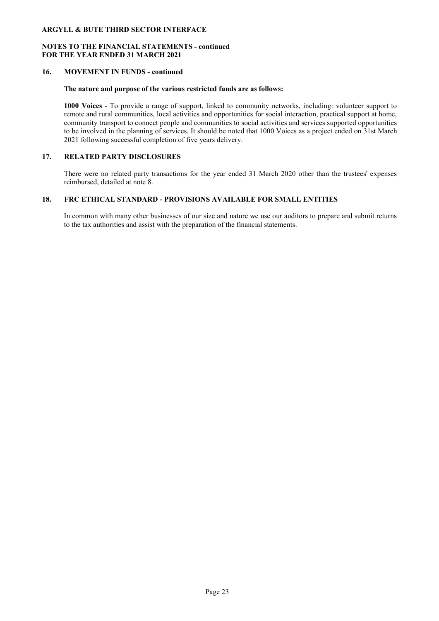### NOTES TO THE FINANCIAL STATEMENTS - continued FOR THE YEAR ENDED 31 MARCH 2021

### 16. MOVEMENT IN FUNDS - continued

#### The nature and purpose of the various restricted funds are as follows:

1000 Voices - To provide a range of support, linked to community networks, including: volunteer support to remote and rural communities, local activities and opportunities for social interaction, practical support at home, community transport to connect people and communities to social activities and services supported opportunities to be involved in the planning of services. It should be noted that 1000 Voices as a project ended on 31st March 2021 following successful completion of five years delivery.

### 17. RELATED PARTY DISCLOSURES

There were no related party transactions for the year ended 31 March 2020 other than the trustees' expenses reimbursed, detailed at note 8.

### 18. FRC ETHICAL STANDARD - PROVISIONS AVAILABLE FOR SMALL ENTITIES

In common with many other businesses of our size and nature we use our auditors to prepare and submit returns to the tax authorities and assist with the preparation of the financial statements.